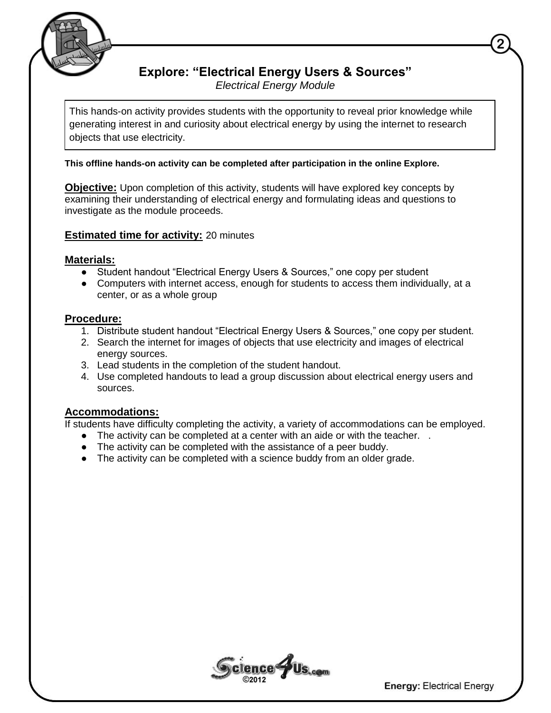

## **Explore: "Electrical Energy Users & Sources"**

*Electrical Energy Module*

This hands-on activity provides students with the opportunity to reveal prior knowledge while generating interest in and curiosity about electrical energy by using the internet to research objects that use electricity.

This offline hands-on activity can be completed after participation in the online Explore.

**Objective:** Upon completion of this activity, students will have explored key concepts by examining their understanding of electrical energy and formulating ideas and questions to investigate as the module proceeds.

**Estimated time for activity: 20 minutes** 

#### **Materials:**

- Student handout "Electrical Energy Users & Sources," one copy per student
- Computers with internet access, enough for students to access them individually, at a center, or as a whole group

### **Procedure:**

- 1. Distribute student handout "Electrical Energy Users & Sources," one copy per student.
- 2. Search the internet for images of objects that use electricity and images of electrical energy sources.
- 3. Lead students in the completion of the student handout.
- 4. Use completed handouts to lead a group discussion about electrical energy users and sources.

### **Accommodations:**

If students have difficulty completing the activity, a variety of accommodations can be employed.

- The activity can be completed at a center with an aide or with the teacher. .
- The activity can be completed with the assistance of a peer buddy.
- The activity can be completed with a science buddy from an older grade.



**Energy: Electrical Energy**